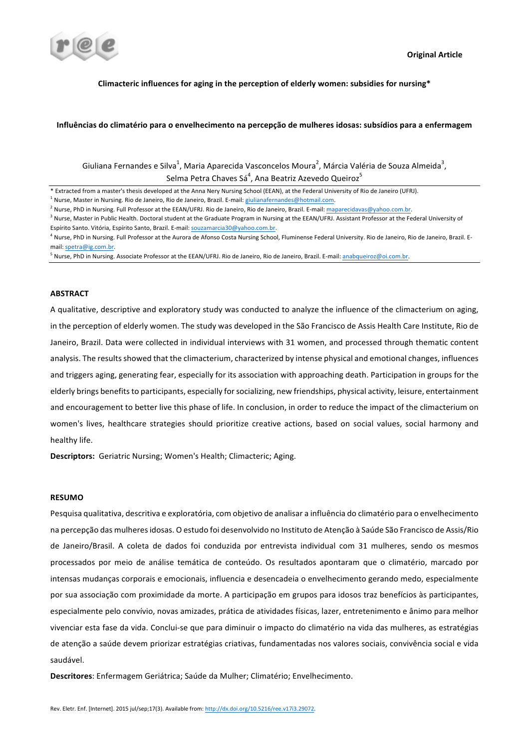

## Climacteric influences for aging in the perception of elderly women: subsidies for nursing<sup>\*</sup>

## Influências do climatério para o envelhecimento na percepção de mulheres idosas: subsídios para a enfermagem

Giuliana Fernandes e Silva<sup>1</sup>, Maria Aparecida Vasconcelos Moura<sup>2</sup>, Márcia Valéria de Souza Almeida<sup>3</sup>, Selma Petra Chaves Sá $^4$ , Ana Beatriz Azevedo Queiroz $^5$ 

#### **ABSTRACT**

A qualitative, descriptive and exploratory study was conducted to analyze the influence of the climacterium on aging, in the perception of elderly women. The study was developed in the São Francisco de Assis Health Care Institute, Rio de Janeiro, Brazil. Data were collected in individual interviews with 31 women, and processed through thematic content analysis. The results showed that the climacterium, characterized by intense physical and emotional changes, influences and triggers aging, generating fear, especially for its association with approaching death. Participation in groups for the elderly brings benefits to participants, especially for socializing, new friendships, physical activity, leisure, entertainment and encouragement to better live this phase of life. In conclusion, in order to reduce the impact of the climacterium on women's lives, healthcare strategies should prioritize creative actions, based on social values, social harmony and healthy life.

**Descriptors:** Geriatric Nursing; Women's Health; Climacteric; Aging.

## **RESUMO**

Pesquisa qualitativa, descritiva e exploratória, com objetivo de analisar a influência do climatério para o envelhecimento na percepção das mulheres idosas. O estudo foi desenvolvido no Instituto de Atenção à Saúde São Francisco de Assis/Rio de Janeiro/Brasil. A coleta de dados foi conduzida por entrevista individual com 31 mulheres, sendo os mesmos processados por meio de análise temática de conteúdo. Os resultados apontaram que o climatério, marcado por intensas mudanças corporais e emocionais, influencia e desencadeia o envelhecimento gerando medo, especialmente por sua associação com proximidade da morte. A participação em grupos para idosos traz benefícios às participantes, especialmente pelo convívio, novas amizades, prática de atividades físicas, lazer, entretenimento e ânimo para melhor vivenciar esta fase da vida. Conclui-se que para diminuir o impacto do climatério na vida das mulheres, as estratégias de atenção a saúde devem priorizar estratégias criativas, fundamentadas nos valores sociais, convivência social e vida saudável.

Descritores: Enfermagem Geriátrica; Saúde da Mulher; Climatério; Envelhecimento.

<sup>\*</sup> Extracted from a master's thesis developed at the Anna Nery Nursing School (EEAN), at the Federal University of Rio de Janeiro (UFRJ).

 $1$  Nurse, Master in Nursing. Rio de Janeiro, Rio de Janeiro, Brazil. E-mail: giulianafernandes@hotmail.com.

<sup>&</sup>lt;sup>2</sup> Nurse, PhD in Nursing. Full Professor at the EEAN/UFRJ. Rio de Janeiro, Rio de Janeiro, Brazil. E-mail: maparecidavas@yahoo.com.br.

 $3$  Nurse, Master in Public Health. Doctoral student at the Graduate Program in Nursing at the EEAN/UFRJ. Assistant Professor at the Federal University of Espírito Santo. Vitória, Espírito Santo, Brazil. E-mail: souzamarcia30@yahoo.com.br.

<sup>&</sup>lt;sup>4</sup> Nurse, PhD in Nursing. Full Professor at the Aurora de Afonso Costa Nursing School, Fluminense Federal University. Rio de Janeiro, Rio de Janeiro, Brazil. Email: spetra@ig.com.br.

<sup>&</sup>lt;sup>5</sup> Nurse, PhD in Nursing. Associate Professor at the EEAN/UFRJ. Rio de Janeiro, Rio de Janeiro, Brazil. E-mail: anabqueiroz@oi.com.br.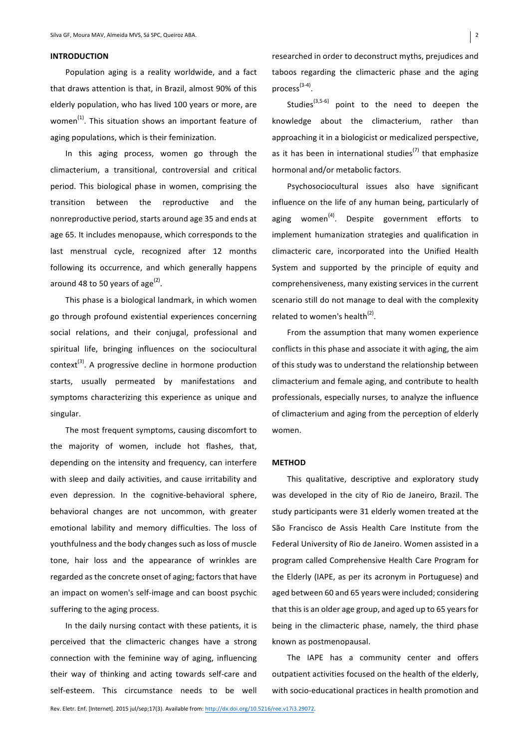## **INTRODUCTION**

Population aging is a reality worldwide, and a fact that draws attention is that, in Brazil, almost 90% of this elderly population, who has lived 100 years or more, are women $^{(1)}$ . This situation shows an important feature of aging populations, which is their feminization.

In this aging process, women go through the climacterium, a transitional, controversial and critical period. This biological phase in women, comprising the transition between the reproductive and the nonreproductive period, starts around age 35 and ends at age 65. It includes menopause, which corresponds to the last menstrual cycle, recognized after 12 months following its occurrence, and which generally happens around 48 to 50 years of age<sup>(2)</sup>.

This phase is a biological landmark, in which women go through profound existential experiences concerning social relations, and their conjugal, professional and spiritual life, bringing influences on the sociocultural context<sup>(3)</sup>. A progressive decline in hormone production starts, usually permeated by manifestations and symptoms characterizing this experience as unique and singular.

The most frequent symptoms, causing discomfort to the majority of women, include hot flashes, that, depending on the intensity and frequency, can interfere with sleep and daily activities, and cause irritability and even depression. In the cognitive-behavioral sphere, behavioral changes are not uncommon, with greater emotional lability and memory difficulties. The loss of youthfulness and the body changes such as loss of muscle tone, hair loss and the appearance of wrinkles are regarded as the concrete onset of aging; factors that have an impact on women's self-image and can boost psychic suffering to the aging process.

In the daily nursing contact with these patients, it is perceived that the climacteric changes have a strong connection with the feminine way of aging, influencing their way of thinking and acting towards self-care and self-esteem. This circumstance needs to be well

researched in order to deconstruct myths, prejudices and taboos regarding the climacteric phase and the aging process<sup>(3-4)</sup>.

Studies $^{(3,5-6)}$  point to the need to deepen the knowledge about the climacterium, rather than approaching it in a biologicist or medicalized perspective, as it has been in international studies<sup>(7)</sup> that emphasize hormonal and/or metabolic factors.

Psychosociocultural issues also have significant influence on the life of any human being, particularly of aging women<sup>(4)</sup>. Despite government efforts to implement humanization strategies and qualification in climacteric care, incorporated into the Unified Health System and supported by the principle of equity and comprehensiveness, many existing services in the current scenario still do not manage to deal with the complexity related to women's health<sup>(2)</sup>.

From the assumption that many women experience conflicts in this phase and associate it with aging, the aim of this study was to understand the relationship between climacterium and female aging, and contribute to health professionals, especially nurses, to analyze the influence of climacterium and aging from the perception of elderly women.

#### **METHOD**

This qualitative, descriptive and exploratory study was developed in the city of Rio de Janeiro, Brazil. The study participants were 31 elderly women treated at the São Francisco de Assis Health Care Institute from the Federal University of Rio de Janeiro. Women assisted in a program called Comprehensive Health Care Program for the Elderly (IAPE, as per its acronym in Portuguese) and aged between 60 and 65 years were included; considering that this is an older age group, and aged up to 65 years for being in the climacteric phase, namely, the third phase known as postmenopausal.

The IAPE has a community center and offers outpatient activities focused on the health of the elderly, with socio-educational practices in health promotion and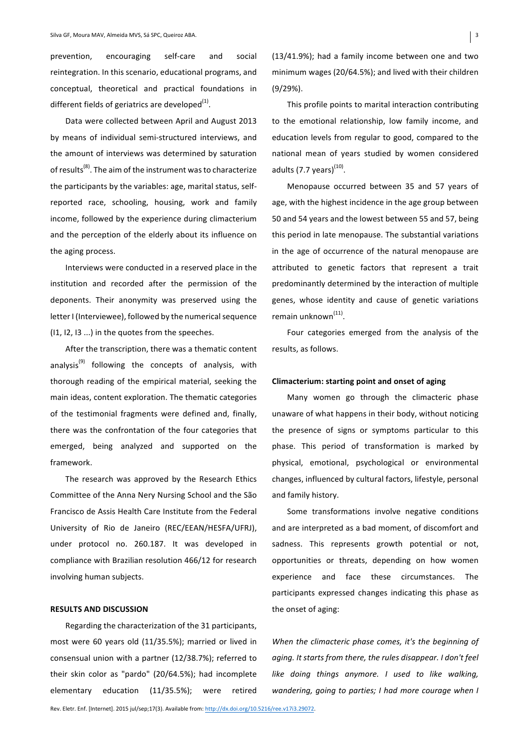prevention, encouraging self-care and social reintegration. In this scenario, educational programs, and conceptual, theoretical and practical foundations in different fields of geriatrics are developed $^{(1)}$ .

Data were collected between April and August 2013 by means of individual semi-structured interviews, and the amount of interviews was determined by saturation of results<sup>(8)</sup>. The aim of the instrument was to characterize the participants by the variables: age, marital status, selfreported race, schooling, housing, work and family income, followed by the experience during climacterium and the perception of the elderly about its influence on the aging process.

Interviews were conducted in a reserved place in the institution and recorded after the permission of the deponents. Their anonymity was preserved using the letter I (Interviewee), followed by the numerical sequence  $(11, 12, 13...)$  in the quotes from the speeches.

After the transcription, there was a thematic content analysis<sup>(9)</sup> following the concepts of analysis, with thorough reading of the empirical material, seeking the main ideas, content exploration. The thematic categories of the testimonial fragments were defined and, finally, there was the confrontation of the four categories that emerged, being analyzed and supported on the framework.

The research was approved by the Research Ethics Committee of the Anna Nery Nursing School and the São Francisco de Assis Health Care Institute from the Federal University of Rio de Janeiro (REC/EEAN/HESFA/UFRJ), under protocol no. 260.187. It was developed in compliance with Brazilian resolution 466/12 for research involving human subjects.

# **RESULTS AND DISCUSSION**

Regarding the characterization of the 31 participants, most were 60 years old (11/35.5%); married or lived in consensual union with a partner (12/38.7%); referred to their skin color as "pardo" (20/64.5%); had incomplete elementary education (11/35.5%); were retired  $(13/41.9\%)$ ; had a family income between one and two minimum wages (20/64.5%); and lived with their children (9/29%).

This profile points to marital interaction contributing to the emotional relationship, low family income, and education levels from regular to good, compared to the national mean of years studied by women considered adults (7.7 years) $^{(10)}$ .

Menopause occurred between 35 and 57 years of age, with the highest incidence in the age group between 50 and 54 years and the lowest between 55 and 57, being this period in late menopause. The substantial variations in the age of occurrence of the natural menopause are attributed to genetic factors that represent a trait predominantly determined by the interaction of multiple genes, whose identity and cause of genetic variations remain unknown<sup>(11)</sup>.

Four categories emerged from the analysis of the results, as follows.

# **Climacterium: starting point and onset of aging**

Many women go through the climacteric phase unaware of what happens in their body, without noticing the presence of signs or symptoms particular to this phase. This period of transformation is marked by physical, emotional, psychological or environmental changes, influenced by cultural factors, lifestyle, personal and family history.

Some transformations involve negative conditions and are interpreted as a bad moment, of discomfort and sadness. This represents growth potential or not, opportunities or threats, depending on how women experience and face these circumstances. The participants expressed changes indicating this phase as the onset of aging:

When the climacteric phase comes, it's the beginning of *aging.* It starts from there, the rules disappear. I don't feel *like* doing things anymore. *I* used to like walking, *wandering, going to parties; I had more courage when I*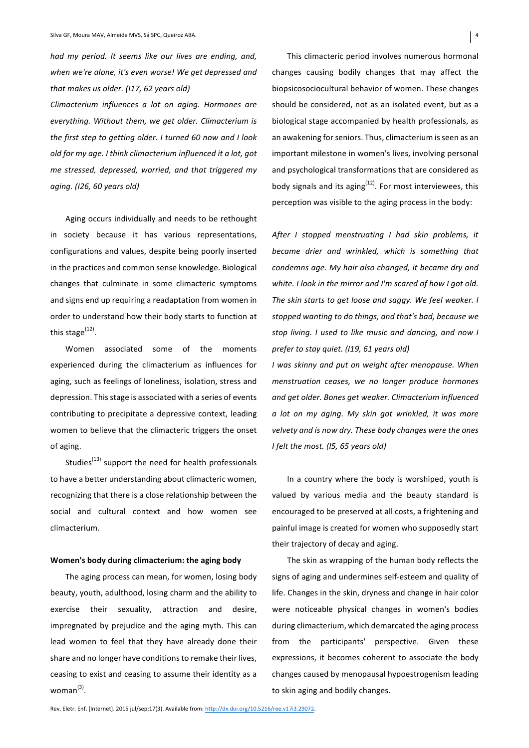*had my period. It seems like our lives are ending, and,* when we're alone, it's even worse! We get depressed and that makes us older. (I17, 62 years old)

*Climacterium influences a lot on aging. Hormones are everything. Without them, we get older. Climacterium is*  the first step to getting older. I turned 60 now and I look *old for my age.* I think climacterium influenced it a lot, got *me stressed, depressed, worried, and that triggered my aging. (I26, 60 years old)*

Aging occurs individually and needs to be rethought in society because it has various representations, configurations and values, despite being poorly inserted in the practices and common sense knowledge. Biological changes that culminate in some climacteric symptoms and signs end up requiring a readaptation from women in order to understand how their body starts to function at this stage<sup>(12)</sup>.

Women associated some of the moments experienced during the climacterium as influences for aging, such as feelings of loneliness, isolation, stress and depression. This stage is associated with a series of events contributing to precipitate a depressive context, leading women to believe that the climacteric triggers the onset of aging.

Studies<sup>(13)</sup> support the need for health professionals to have a better understanding about climacteric women, recognizing that there is a close relationship between the social and cultural context and how women see climacterium.

#### **Women's body during climacterium: the aging body**

The aging process can mean, for women, losing body beauty, youth, adulthood, losing charm and the ability to exercise their sexuality, attraction and desire, impregnated by prejudice and the aging myth. This can lead women to feel that they have already done their share and no longer have conditions to remake their lives, ceasing to exist and ceasing to assume their identity as a woman $^{(3)}$ .

This climacteric period involves numerous hormonal changes causing bodily changes that may affect the biopsicosociocultural behavior of women. These changes should be considered, not as an isolated event, but as a biological stage accompanied by health professionals, as an awakening for seniors. Thus, climacterium is seen as an important milestone in women's lives, involving personal and psychological transformations that are considered as body signals and its aging<sup>(12)</sup>. For most interviewees, this perception was visible to the aging process in the body:

After I stopped menstruating I had skin problems, it *became drier and wrinkled, which is something that* condemns age. My hair also changed, it became dry and white. I look in the mirror and I'm scared of how I got old. The skin starts to get loose and saggy. We feel weaker. I stopped wanting to do things, and that's bad, because we *stop living. I used to like music and dancing, and now I prefer to stay quiet. (I19, 61 years old)*

*I* was skinny and put on weight after menopause. When *menstruation ceases, we no longer produce hormones and get older. Bones get weaker. Climacterium influenced a lot on my aging. My skin got wrinkled, it was more velvety* and is now dry. These body changes were the ones *I felt the most. (I5, 65 years old)*

In a country where the body is worshiped, youth is valued by various media and the beauty standard is encouraged to be preserved at all costs, a frightening and painful image is created for women who supposedly start their trajectory of decay and aging.

The skin as wrapping of the human body reflects the signs of aging and undermines self-esteem and quality of life. Changes in the skin, dryness and change in hair color were noticeable physical changes in women's bodies during climacterium, which demarcated the aging process from the participants' perspective. Given these expressions, it becomes coherent to associate the body changes caused by menopausal hypoestrogenism leading to skin aging and bodily changes.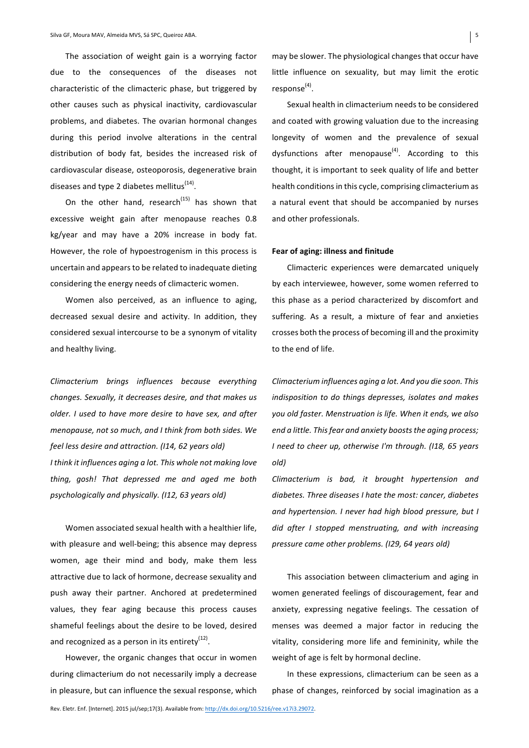The association of weight gain is a worrying factor due to the consequences of the diseases not characteristic of the climacteric phase, but triggered by other causes such as physical inactivity, cardiovascular problems, and diabetes. The ovarian hormonal changes during this period involve alterations in the central distribution of body fat, besides the increased risk of cardiovascular disease, osteoporosis, degenerative brain diseases and type 2 diabetes mellitus $^{(14)}$ .

On the other hand, research<sup>(15)</sup> has shown that excessive weight gain after menopause reaches 0.8 kg/year and may have a 20% increase in body fat. However, the role of hypoestrogenism in this process is uncertain and appears to be related to inadequate dieting considering the energy needs of climacteric women.

Women also perceived, as an influence to aging, decreased sexual desire and activity. In addition, they considered sexual intercourse to be a synonym of vitality and healthy living.

*Climacterium brings influences because everything*  changes. Sexually, it decreases desire, and that makes us *older. I used to have more desire to have sex, and after menopause, not so much, and I think from both sides. We feel less desire and attraction. (I14, 62 years old) I* think it influences aging a lot. This whole not making love *thing, gosh! That depressed me and aged me both* 

*psychologically and physically. (I12, 63 years old)*

Women associated sexual health with a healthier life, with pleasure and well-being; this absence may depress women, age their mind and body, make them less attractive due to lack of hormone, decrease sexuality and push away their partner. Anchored at predetermined values, they fear aging because this process causes shameful feelings about the desire to be loved, desired and recognized as a person in its entirety $^{(12)}$ .

However, the organic changes that occur in women during climacterium do not necessarily imply a decrease in pleasure, but can influence the sexual response, which may be slower. The physiological changes that occur have little influence on sexuality, but may limit the erotic response<sup>(4)</sup>.

Sexual health in climacterium needs to be considered and coated with growing valuation due to the increasing longevity of women and the prevalence of sexual dysfunctions after menopause<sup>(4)</sup>. According to this thought, it is important to seek quality of life and better health conditions in this cycle, comprising climacterium as a natural event that should be accompanied by nurses and other professionals.

#### **Fear of aging: illness and finitude**

Climacteric experiences were demarcated uniquely by each interviewee, however, some women referred to this phase as a period characterized by discomfort and suffering. As a result, a mixture of fear and anxieties crosses both the process of becoming ill and the proximity to the end of life.

*Climacterium influences* aging a lot. And you die soon. This indisposition to do things depresses, isolates and makes *you* old faster. Menstruation is life. When it ends, we also end a little. This fear and anxiety boosts the aging process; *I need to cheer up, otherwise I'm through. (I18, 65 years old)*

*Climacterium is bad, it brought hypertension and*  diabetes. Three diseases I hate the most: cancer, diabetes and hypertension. I never had high blood pressure, but I did after I stopped menstruating, and with increasing *pressure came other problems. (I29, 64 years old)*

This association between climacterium and aging in women generated feelings of discouragement, fear and anxiety, expressing negative feelings. The cessation of menses was deemed a major factor in reducing the vitality, considering more life and femininity, while the weight of age is felt by hormonal decline.

In these expressions, climacterium can be seen as a phase of changes, reinforced by social imagination as a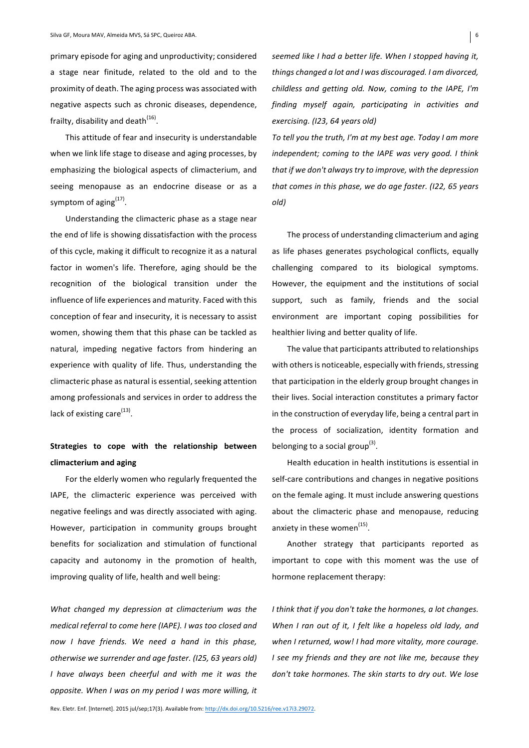primary episode for aging and unproductivity; considered a stage near finitude, related to the old and to the proximity of death. The aging process was associated with negative aspects such as chronic diseases, dependence, frailty, disability and death $^{(16)}$ .

This attitude of fear and insecurity is understandable when we link life stage to disease and aging processes, by emphasizing the biological aspects of climacterium, and seeing menopause as an endocrine disease or as a symptom of aging $^{(17)}$ .

Understanding the climacteric phase as a stage near the end of life is showing dissatisfaction with the process of this cycle, making it difficult to recognize it as a natural factor in women's life. Therefore, aging should be the recognition of the biological transition under the influence of life experiences and maturity. Faced with this conception of fear and insecurity, it is necessary to assist women, showing them that this phase can be tackled as natural, impeding negative factors from hindering an experience with quality of life. Thus, understanding the climacteric phase as natural is essential, seeking attention among professionals and services in order to address the lack of existing care<sup>(13)</sup>.

# **Strategies to cope with the relationship between climacterium and aging**

For the elderly women who regularly frequented the IAPE, the climacteric experience was perceived with negative feelings and was directly associated with aging. However, participation in community groups brought benefits for socialization and stimulation of functional capacity and autonomy in the promotion of health, improving quality of life, health and well being:

*What changed my depression at climacterium was the medical referral to come here (IAPE). I was too closed and now I have friends. We need a hand in this phase, otherwise we surrender and age faster. (I25, 63 years old) I* have always been cheerful and with me it was the *opposite. When I was on my period I was more willing, it* 

*seemed like I had a better life. When I stopped having it,* things changed a lot and I was discouraged. I am divorced, *childless and getting old. Now, coming to the IAPE, I'm* finding myself again, participating in activities and *exercising. (I23, 64 years old)*

To tell you the truth, I'm at my best age. Today I am more independent; coming to the IAPE was very good. I think that if we don't always try to improve, with the depression *that comes in this phase, we do age faster. (I22, 65 years old)*

The process of understanding climacterium and aging as life phases generates psychological conflicts, equally challenging compared to its biological symptoms. However, the equipment and the institutions of social support, such as family, friends and the social environment are important coping possibilities for healthier living and better quality of life.

The value that participants attributed to relationships with others is noticeable, especially with friends, stressing that participation in the elderly group brought changes in their lives. Social interaction constitutes a primary factor in the construction of everyday life, being a central part in the process of socialization, identity formation and belonging to a social group<sup>(3)</sup>.

Health education in health institutions is essential in self-care contributions and changes in negative positions on the female aging. It must include answering questions about the climacteric phase and menopause, reducing anxiety in these women<sup>(15)</sup>.

Another strategy that participants reported as important to cope with this moment was the use of hormone replacement therapy:

*I* think that if you don't take the hormones, a lot changes. When I ran out of it, I felt like a hopeless old lady, and when I returned, wow! I had more vitality, more courage. *I* see my friends and they are not like me, because they don't take hormones. The skin starts to dry out. We lose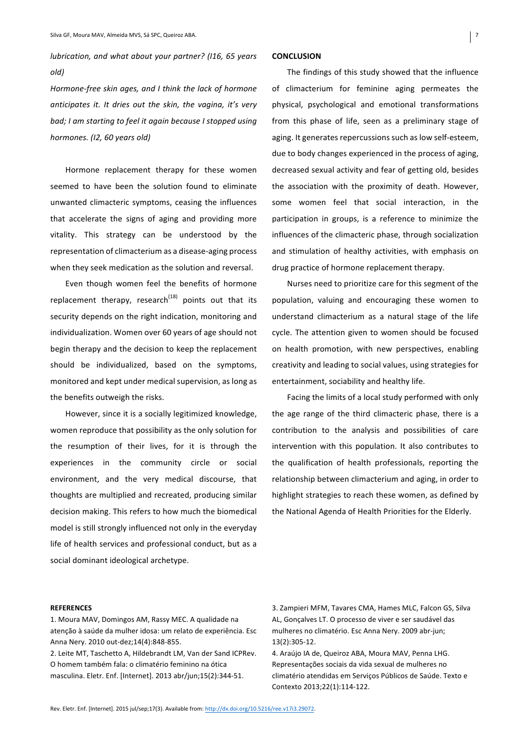*lubrication, and what about your partner?* (I16, 65 years *old)* 

*Hormone-free skin ages, and I think the lack of hormone anticipates it. It dries out the skin, the vagina, it's very bad; I* am starting to feel it again because *I* stopped using *hormones. (I2, 60 years old)*

Hormone replacement therapy for these women seemed to have been the solution found to eliminate unwanted climacteric symptoms, ceasing the influences that accelerate the signs of aging and providing more vitality. This strategy can be understood by the representation of climacterium as a disease-aging process when they seek medication as the solution and reversal.

Even though women feel the benefits of hormone replacement therapy, research<sup> $(18)$ </sup> points out that its security depends on the right indication, monitoring and individualization. Women over 60 years of age should not begin therapy and the decision to keep the replacement should be individualized, based on the symptoms, monitored and kept under medical supervision, as long as the benefits outweigh the risks.

However, since it is a socially legitimized knowledge, women reproduce that possibility as the only solution for the resumption of their lives, for it is through the experiences in the community circle or social environment, and the very medical discourse, that thoughts are multiplied and recreated, producing similar decision making. This refers to how much the biomedical model is still strongly influenced not only in the everyday life of health services and professional conduct, but as a social dominant ideological archetype.

## **CONCLUSION**

The findings of this study showed that the influence of climacterium for feminine aging permeates the physical, psychological and emotional transformations from this phase of life, seen as a preliminary stage of aging. It generates repercussions such as low self-esteem, due to body changes experienced in the process of aging, decreased sexual activity and fear of getting old, besides the association with the proximity of death. However, some women feel that social interaction, in the participation in groups, is a reference to minimize the influences of the climacteric phase, through socialization and stimulation of healthy activities, with emphasis on drug practice of hormone replacement therapy.

Nurses need to prioritize care for this segment of the population, valuing and encouraging these women to understand climacterium as a natural stage of the life cycle. The attention given to women should be focused on health promotion, with new perspectives, enabling creativity and leading to social values, using strategies for entertainment, sociability and healthy life.

Facing the limits of a local study performed with only the age range of the third climacteric phase, there is a contribution to the analysis and possibilities of care intervention with this population. It also contributes to the qualification of health professionals, reporting the relationship between climacterium and aging, in order to highlight strategies to reach these women, as defined by the National Agenda of Health Priorities for the Elderly.

#### **REFERENCES**

1. Moura MAV, Domingos AM, Rassy MEC. A qualidade na atenção à saúde da mulher idosa: um relato de experiência. Esc Anna Nery. 2010 out-dez;14(4):848-855.

2. Leite MT, Taschetto A, Hildebrandt LM, Van der Sand ICPRev. O homem também fala: o climatério feminino na ótica masculina. Eletr. Enf. [Internet]. 2013 abr/jun;15(2):344-51.

3. Zampieri MFM, Tavares CMA, Hames MLC, Falcon GS, Silva AL, Gonçalves LT. O processo de viver e ser saudável das mulheres no climatério. Esc Anna Nery. 2009 abr-jun; 13(2):305-12.

4. Araújo IA de, Queiroz ABA, Moura MAV, Penna LHG. Representações sociais da vida sexual de mulheres no climatério atendidas em Serviços Públicos de Saúde. Texto e Contexto 2013;22(1):114-122.